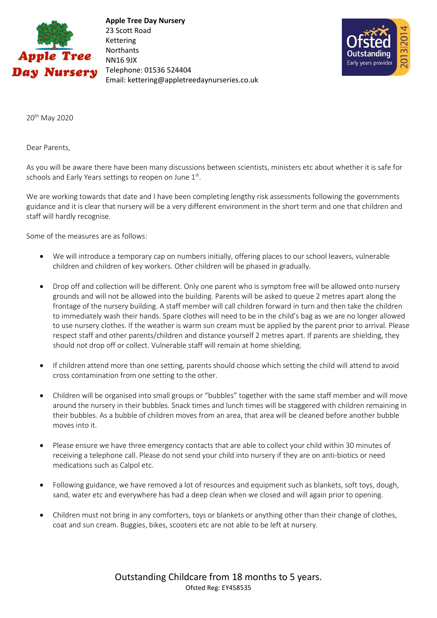

 **Apple Tree Day Nursery** 23 Scott Road Kettering Northants NN16 9JX Telephone: 01536 524404 Email: kettering@appletreedaynurseries.co.uk



20th May 2020

Dear Parents,

As you will be aware there have been many discussions between scientists, ministers etc about whether it is safe for schools and Early Years settings to reopen on June  $1<sup>st</sup>$ .

We are working towards that date and I have been completing lengthy risk assessments following the governments guidance and it is clear that nursery will be a very different environment in the short term and one that children and staff will hardly recognise.

Some of the measures are as follows:

- We will introduce a temporary cap on numbers initially, offering places to our school leavers, vulnerable children and children of key workers. Other children will be phased in gradually.
- Drop off and collection will be different. Only one parent who is symptom free will be allowed onto nursery grounds and will not be allowed into the building. Parents will be asked to queue 2 metres apart along the frontage of the nursery building. A staff member will call children forward in turn and then take the children to immediately wash their hands. Spare clothes will need to be in the child's bag as we are no longer allowed to use nursery clothes. If the weather is warm sun cream must be applied by the parent prior to arrival. Please respect staff and other parents/children and distance yourself 2 metres apart. If parents are shielding, they should not drop off or collect. Vulnerable staff will remain at home shielding.
- If children attend more than one setting, parents should choose which setting the child will attend to avoid cross contamination from one setting to the other.
- Children will be organised into small groups or "bubbles" together with the same staff member and will move around the nursery in their bubbles. Snack times and lunch times will be staggered with children remaining in their bubbles. As a bubble of children moves from an area, that area will be cleaned before another bubble moves into it.
- Please ensure we have three emergency contacts that are able to collect your child within 30 minutes of receiving a telephone call. Please do not send your child into nursery if they are on anti-biotics or need medications such as Calpol etc.
- Following guidance, we have removed a lot of resources and equipment such as blankets, soft toys, dough, sand, water etc and everywhere has had a deep clean when we closed and will again prior to opening.
- Children must not bring in any comforters, toys or blankets or anything other than their change of clothes, coat and sun cream. Buggies, bikes, scooters etc are not able to be left at nursery.